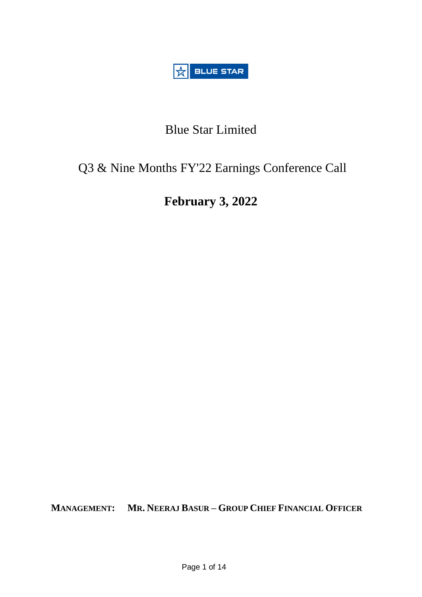

# Blue Star Limited

## Q3 & Nine Months FY'22 Earnings Conference Call

# **February 3, 2022**

**MANAGEMENT: MR. NEERAJ BASUR – GROUP CHIEF FINANCIAL OFFICER**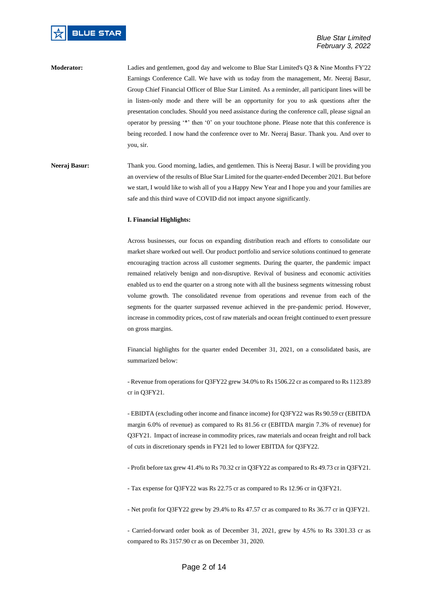**Moderator:** Ladies and gentlemen, good day and welcome to Blue Star Limited's Q3 & Nine Months FY'22 Earnings Conference Call. We have with us today from the management, Mr. Neeraj Basur, Group Chief Financial Officer of Blue Star Limited. As a reminder, all participant lines will be in listen-only mode and there will be an opportunity for you to ask questions after the presentation concludes. Should you need assistance during the conference call, please signal an operator by pressing '\*' then '0' on your touchtone phone. Please note that this conference is being recorded. I now hand the conference over to Mr. Neeraj Basur. Thank you. And over to you, sir.

### **Neeraj Basur:** Thank you. Good morning, ladies, and gentlemen. This is Neeraj Basur. I will be providing you an overview of the results of Blue Star Limited for the quarter-ended December 2021. But before we start, I would like to wish all of you a Happy New Year and I hope you and your families are safe and this third wave of COVID did not impact anyone significantly.

#### **I. Financial Highlights:**

Across businesses, our focus on expanding distribution reach and efforts to consolidate our market share worked out well. Our product portfolio and service solutions continued to generate encouraging traction across all customer segments. During the quarter, the pandemic impact remained relatively benign and non-disruptive. Revival of business and economic activities enabled us to end the quarter on a strong note with all the business segments witnessing robust volume growth. The consolidated revenue from operations and revenue from each of the segments for the quarter surpassed revenue achieved in the pre-pandemic period. However, increase in commodity prices, cost of raw materials and ocean freight continued to exert pressure on gross margins.

Financial highlights for the quarter ended December 31, 2021, on a consolidated basis, are summarized below:

- Revenue from operations for Q3FY22 grew 34.0% to Rs 1506.22 cr as compared to Rs 1123.89 cr in Q3FY21.

- EBIDTA (excluding other income and finance income) for Q3FY22 was Rs 90.59 cr (EBITDA margin 6.0% of revenue) as compared to Rs 81.56 cr (EBITDA margin 7.3% of revenue) for Q3FY21. Impact of increase in commodity prices, raw materials and ocean freight and roll back of cuts in discretionary spends in FY21 led to lower EBITDA for Q3FY22.

- Profit before tax grew 41.4% to Rs 70.32 cr in Q3FY22 as compared to Rs 49.73 cr in Q3FY21.

- Tax expense for Q3FY22 was Rs 22.75 cr as compared to Rs 12.96 cr in Q3FY21.

- Net profit for Q3FY22 grew by 29.4% to Rs 47.57 cr as compared to Rs 36.77 cr in Q3FY21.

- Carried-forward order book as of December 31, 2021, grew by 4.5% to Rs 3301.33 cr as compared to Rs 3157.90 cr as on December 31, 2020.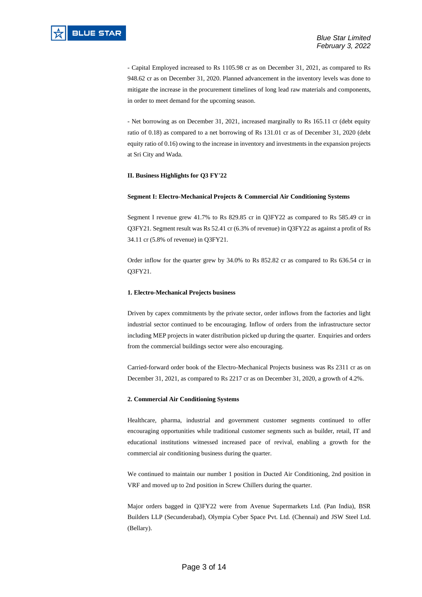- Capital Employed increased to Rs 1105.98 cr as on December 31, 2021, as compared to Rs 948.62 cr as on December 31, 2020. Planned advancement in the inventory levels was done to mitigate the increase in the procurement timelines of long lead raw materials and components, in order to meet demand for the upcoming season.

- Net borrowing as on December 31, 2021, increased marginally to Rs 165.11 cr (debt equity ratio of 0.18) as compared to a net borrowing of Rs 131.01 cr as of December 31, 2020 (debt equity ratio of 0.16) owing to the increase in inventory and investments in the expansion projects at Sri City and Wada.

#### **II. Business Highlights for Q3 FY'22**

#### **Segment I: Electro-Mechanical Projects & Commercial Air Conditioning Systems**

Segment I revenue grew 41.7% to Rs 829.85 cr in Q3FY22 as compared to Rs 585.49 cr in Q3FY21. Segment result was Rs 52.41 cr (6.3% of revenue) in Q3FY22 as against a profit of Rs 34.11 cr (5.8% of revenue) in Q3FY21.

Order inflow for the quarter grew by 34.0% to Rs 852.82 cr as compared to Rs 636.54 cr in Q3FY21.

#### **1. Electro-Mechanical Projects business**

Driven by capex commitments by the private sector, order inflows from the factories and light industrial sector continued to be encouraging. Inflow of orders from the infrastructure sector including MEP projects in water distribution picked up during the quarter. Enquiries and orders from the commercial buildings sector were also encouraging.

Carried-forward order book of the Electro-Mechanical Projects business was Rs 2311 cr as on December 31, 2021, as compared to Rs 2217 cr as on December 31, 2020, a growth of 4.2%.

#### **2. Commercial Air Conditioning Systems**

Healthcare, pharma, industrial and government customer segments continued to offer encouraging opportunities while traditional customer segments such as builder, retail, IT and educational institutions witnessed increased pace of revival, enabling a growth for the commercial air conditioning business during the quarter.

We continued to maintain our number 1 position in Ducted Air Conditioning, 2nd position in VRF and moved up to 2nd position in Screw Chillers during the quarter.

Major orders bagged in Q3FY22 were from Avenue Supermarkets Ltd. (Pan India), BSR Builders LLP (Secunderabad), Olympia Cyber Space Pvt. Ltd. (Chennai) and JSW Steel Ltd. (Bellary).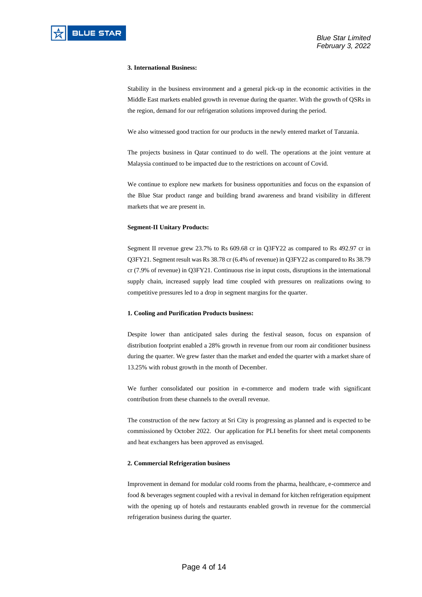#### **3. International Business:**

Stability in the business environment and a general pick-up in the economic activities in the Middle East markets enabled growth in revenue during the quarter. With the growth of QSRs in the region, demand for our refrigeration solutions improved during the period.

We also witnessed good traction for our products in the newly entered market of Tanzania.

The projects business in Qatar continued to do well. The operations at the joint venture at Malaysia continued to be impacted due to the restrictions on account of Covid.

We continue to explore new markets for business opportunities and focus on the expansion of the Blue Star product range and building brand awareness and brand visibility in different markets that we are present in.

#### **Segment-II Unitary Products:**

Segment II revenue grew 23.7% to Rs 609.68 cr in Q3FY22 as compared to Rs 492.97 cr in Q3FY21. Segment result was Rs 38.78 cr (6.4% of revenue) in Q3FY22 as compared to Rs 38.79 cr (7.9% of revenue) in Q3FY21. Continuous rise in input costs, disruptions in the international supply chain, increased supply lead time coupled with pressures on realizations owing to competitive pressures led to a drop in segment margins for the quarter.

#### **1. Cooling and Purification Products business:**

Despite lower than anticipated sales during the festival season, focus on expansion of distribution footprint enabled a 28% growth in revenue from our room air conditioner business during the quarter. We grew faster than the market and ended the quarter with a market share of 13.25% with robust growth in the month of December.

We further consolidated our position in e-commerce and modern trade with significant contribution from these channels to the overall revenue.

The construction of the new factory at Sri City is progressing as planned and is expected to be commissioned by October 2022. Our application for PLI benefits for sheet metal components and heat exchangers has been approved as envisaged.

#### **2. Commercial Refrigeration business**

Improvement in demand for modular cold rooms from the pharma, healthcare, e-commerce and food & beverages segment coupled with a revival in demand for kitchen refrigeration equipment with the opening up of hotels and restaurants enabled growth in revenue for the commercial refrigeration business during the quarter.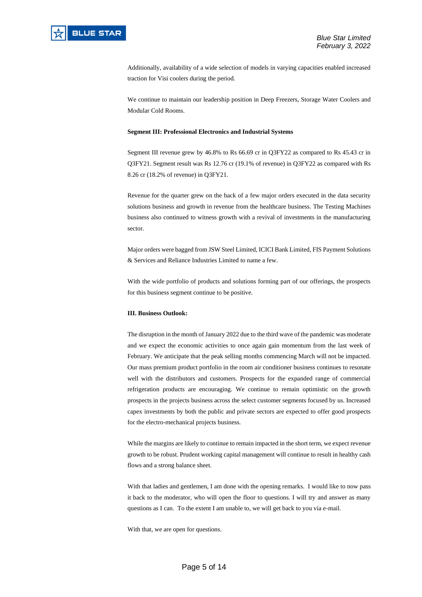

Additionally, availability of a wide selection of models in varying capacities enabled increased traction for Visi coolers during the period.

We continue to maintain our leadership position in Deep Freezers, Storage Water Coolers and Modular Cold Rooms.

#### **Segment III: Professional Electronics and Industrial Systems**

Segment III revenue grew by 46.8% to Rs 66.69 cr in Q3FY22 as compared to Rs 45.43 cr in Q3FY21. Segment result was Rs 12.76 cr (19.1% of revenue) in Q3FY22 as compared with Rs 8.26 cr (18.2% of revenue) in Q3FY21.

Revenue for the quarter grew on the back of a few major orders executed in the data security solutions business and growth in revenue from the healthcare business. The Testing Machines business also continued to witness growth with a revival of investments in the manufacturing sector.

Major orders were bagged from JSW Steel Limited, ICICI Bank Limited, FIS Payment Solutions & Services and Reliance Industries Limited to name a few.

With the wide portfolio of products and solutions forming part of our offerings, the prospects for this business segment continue to be positive.

#### **III. Business Outlook:**

The disruption in the month of January 2022 due to the third wave of the pandemic was moderate and we expect the economic activities to once again gain momentum from the last week of February. We anticipate that the peak selling months commencing March will not be impacted. Our mass premium product portfolio in the room air conditioner business continues to resonate well with the distributors and customers. Prospects for the expanded range of commercial refrigeration products are encouraging. We continue to remain optimistic on the growth prospects in the projects business across the select customer segments focused by us. Increased capex investments by both the public and private sectors are expected to offer good prospects for the electro-mechanical projects business.

While the margins are likely to continue to remain impacted in the short term, we expect revenue growth to be robust. Prudent working capital management will continue to result in healthy cash flows and a strong balance sheet.

With that ladies and gentlemen, I am done with the opening remarks. I would like to now pass it back to the moderator, who will open the floor to questions. I will try and answer as many questions as I can. To the extent I am unable to, we will get back to you via e-mail.

With that, we are open for questions.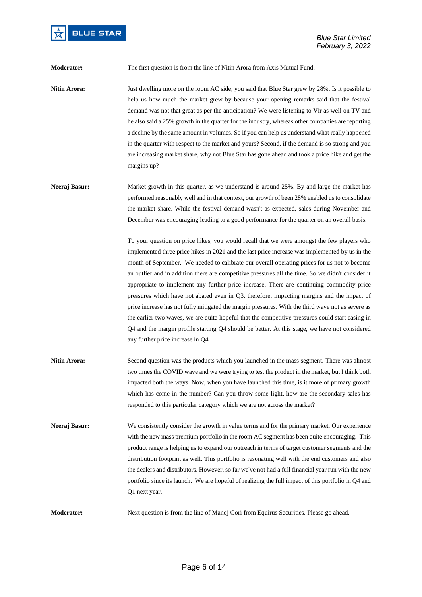

**Moderator:** The first question is from the line of Nitin Arora from Axis Mutual Fund.

**Nitin Arora:** Just dwelling more on the room AC side, you said that Blue Star grew by 28%. Is it possible to help us how much the market grew by because your opening remarks said that the festival demand was not that great as per the anticipation? We were listening to Vir as well on TV and he also said a 25% growth in the quarter for the industry, whereas other companies are reporting a decline by the same amount in volumes. So if you can help us understand what really happened in the quarter with respect to the market and yours? Second, if the demand is so strong and you are increasing market share, why not Blue Star has gone ahead and took a price hike and get the margins up?

**Neeraj Basur:** Market growth in this quarter, as we understand is around 25%. By and large the market has performed reasonably well and in that context, our growth of been 28% enabled us to consolidate the market share. While the festival demand wasn't as expected, sales during November and December was encouraging leading to a good performance for the quarter on an overall basis.

> To your question on price hikes, you would recall that we were amongst the few players who implemented three price hikes in 2021 and the last price increase was implemented by us in the month of September. We needed to calibrate our overall operating prices for us not to become an outlier and in addition there are competitive pressures all the time. So we didn't consider it appropriate to implement any further price increase. There are continuing commodity price pressures which have not abated even in Q3, therefore, impacting margins and the impact of price increase has not fully mitigated the margin pressures. With the third wave not as severe as the earlier two waves, we are quite hopeful that the competitive pressures could start easing in Q4 and the margin profile starting Q4 should be better. At this stage, we have not considered any further price increase in Q4.

- **Nitin Arora:** Second question was the products which you launched in the mass segment. There was almost two times the COVID wave and we were trying to test the product in the market, but I think both impacted both the ways. Now, when you have launched this time, is it more of primary growth which has come in the number? Can you throw some light, how are the secondary sales has responded to this particular category which we are not across the market?
- **Neeraj Basur:** We consistently consider the growth in value terms and for the primary market. Our experience with the new mass premium portfolio in the room AC segment has been quite encouraging. This product range is helping us to expand our outreach in terms of target customer segments and the distribution footprint as well. This portfolio is resonating well with the end customers and also the dealers and distributors. However, so far we've not had a full financial year run with the new portfolio since its launch. We are hopeful of realizing the full impact of this portfolio in Q4 and Q1 next year.

**Moderator:** Next question is from the line of Manoj Gori from Equirus Securities. Please go ahead.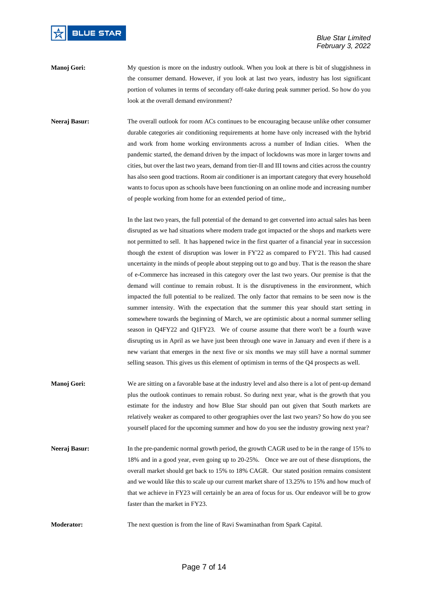

**Manoj Gori:** My question is more on the industry outlook. When you look at there is bit of sluggishness in the consumer demand. However, if you look at last two years, industry has lost significant portion of volumes in terms of secondary off-take during peak summer period. So how do you look at the overall demand environment?

**Neeraj Basur:** The overall outlook for room ACs continues to be encouraging because unlike other consumer durable categories air conditioning requirements at home have only increased with the hybrid and work from home working environments across a number of Indian cities. When the pandemic started, the demand driven by the impact of lockdowns was more in larger towns and cities, but over the last two years, demand from tier-II and III towns and cities across the country has also seen good tractions. Room air conditioner is an important category that every household wants to focus upon as schools have been functioning on an online mode and increasing number of people working from home for an extended period of time,.

> In the last two years, the full potential of the demand to get converted into actual sales has been disrupted as we had situations where modern trade got impacted or the shops and markets were not permitted to sell. It has happened twice in the first quarter of a financial year in succession though the extent of disruption was lower in FY'22 as compared to FY'21. This had caused uncertainty in the minds of people about stepping out to go and buy. That is the reason the share of e-Commerce has increased in this category over the last two years. Our premise is that the demand will continue to remain robust. It is the disruptiveness in the environment, which impacted the full potential to be realized. The only factor that remains to be seen now is the summer intensity. With the expectation that the summer this year should start setting in somewhere towards the beginning of March, we are optimistic about a normal summer selling season in Q4FY22 and Q1FY23. We of course assume that there won't be a fourth wave disrupting us in April as we have just been through one wave in January and even if there is a new variant that emerges in the next five or six months we may still have a normal summer selling season. This gives us this element of optimism in terms of the Q4 prospects as well.

**Manoj Gori:** We are sitting on a favorable base at the industry level and also there is a lot of pent-up demand plus the outlook continues to remain robust. So during next year, what is the growth that you estimate for the industry and how Blue Star should pan out given that South markets are relatively weaker as compared to other geographies over the last two years? So how do you see yourself placed for the upcoming summer and how do you see the industry growing next year?

**Neeraj Basur:** In the pre-pandemic normal growth period, the growth CAGR used to be in the range of 15% to 18% and in a good year, even going up to 20-25%. Once we are out of these disruptions, the overall market should get back to 15% to 18% CAGR. Our stated position remains consistent and we would like this to scale up our current market share of 13.25% to 15% and how much of that we achieve in FY23 will certainly be an area of focus for us. Our endeavor will be to grow faster than the market in FY23.

**Moderator:** The next question is from the line of Ravi Swaminathan from Spark Capital.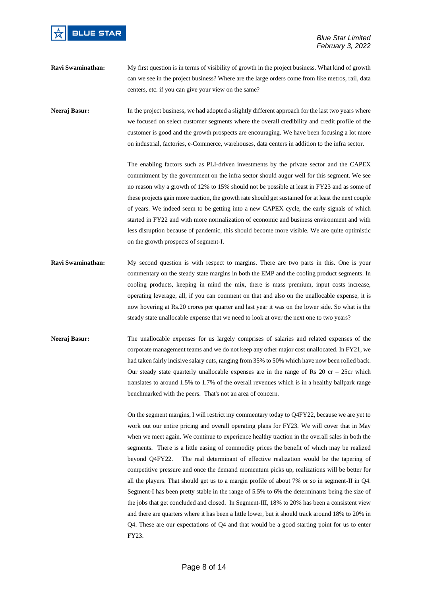

**Ravi Swaminathan:** My first question is in terms of visibility of growth in the project business. What kind of growth can we see in the project business? Where are the large orders come from like metros, rail, data centers, etc. if you can give your view on the same?

**Neeraj Basur:** In the project business, we had adopted a slightly different approach for the last two years where we focused on select customer segments where the overall credibility and credit profile of the customer is good and the growth prospects are encouraging. We have been focusing a lot more on industrial, factories, e-Commerce, warehouses, data centers in addition to the infra sector.

> The enabling factors such as PLI-driven investments by the private sector and the CAPEX commitment by the government on the infra sector should augur well for this segment. We see no reason why a growth of 12% to 15% should not be possible at least in FY23 and as some of these projects gain more traction, the growth rate should get sustained for at least the next couple of years. We indeed seem to be getting into a new CAPEX cycle, the early signals of which started in FY22 and with more normalization of economic and business environment and with less disruption because of pandemic, this should become more visible. We are quite optimistic on the growth prospects of segment-I.

- **Ravi Swaminathan:** My second question is with respect to margins. There are two parts in this. One is your commentary on the steady state margins in both the EMP and the cooling product segments. In cooling products, keeping in mind the mix, there is mass premium, input costs increase, operating leverage, all, if you can comment on that and also on the unallocable expense, it is now hovering at Rs.20 crores per quarter and last year it was on the lower side. So what is the steady state unallocable expense that we need to look at over the next one to two years?
- **Neeraj Basur:** The unallocable expenses for us largely comprises of salaries and related expenses of the corporate management teams and we do not keep any other major cost unallocated. In FY21, we had taken fairly incisive salary cuts, ranging from 35% to 50% which have now been rolled back. Our steady state quarterly unallocable expenses are in the range of Rs  $20$  cr –  $25cr$  which translates to around 1.5% to 1.7% of the overall revenues which is in a healthy ballpark range benchmarked with the peers. That's not an area of concern.

On the segment margins, I will restrict my commentary today to Q4FY22, because we are yet to work out our entire pricing and overall operating plans for FY23. We will cover that in May when we meet again. We continue to experience healthy traction in the overall sales in both the segments. There is a little easing of commodity prices the benefit of which may be realized beyond Q4FY22. The real determinant of effective realization would be the tapering of competitive pressure and once the demand momentum picks up, realizations will be better for all the players. That should get us to a margin profile of about 7% or so in segment-II in Q4. Segment-I has been pretty stable in the range of 5.5% to 6% the determinants being the size of the jobs that get concluded and closed. In Segment-III, 18% to 20% has been a consistent view and there are quarters where it has been a little lower, but it should track around 18% to 20% in Q4. These are our expectations of Q4 and that would be a good starting point for us to enter FY23.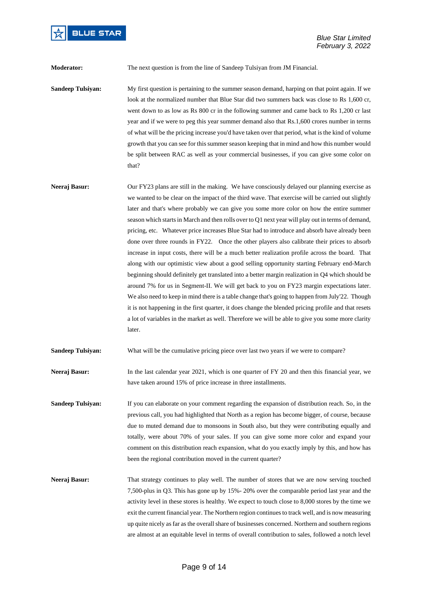

**Moderator:** The next question is from the line of Sandeep Tulsiyan from JM Financial.

**Sandeep Tulsiyan:** My first question is pertaining to the summer season demand, harping on that point again. If we look at the normalized number that Blue Star did two summers back was close to Rs 1,600 cr, went down to as low as Rs 800 cr in the following summer and came back to Rs 1,200 cr last year and if we were to peg this year summer demand also that Rs.1,600 crores number in terms of what will be the pricing increase you'd have taken over that period, what is the kind of volume growth that you can see for this summer season keeping that in mind and how this number would be split between RAC as well as your commercial businesses, if you can give some color on that?

**Neeraj Basur:** Our FY23 plans are still in the making. We have consciously delayed our planning exercise as we wanted to be clear on the impact of the third wave. That exercise will be carried out slightly later and that's where probably we can give you some more color on how the entire summer season which starts in March and then rolls over to Q1 next year will play out in terms of demand, pricing, etc. Whatever price increases Blue Star had to introduce and absorb have already been done over three rounds in FY22. Once the other players also calibrate their prices to absorb increase in input costs, there will be a much better realization profile across the board. That along with our optimistic view about a good selling opportunity starting February end-March beginning should definitely get translated into a better margin realization in Q4 which should be around 7% for us in Segment-II. We will get back to you on FY23 margin expectations later. We also need to keep in mind there is a table change that's going to happen from July'22. Though it is not happening in the first quarter, it does change the blended pricing profile and that resets a lot of variables in the market as well. Therefore we will be able to give you some more clarity later.

**Sandeep Tulsiyan:** What will be the cumulative pricing piece over last two years if we were to compare?

**Neeraj Basur:** In the last calendar year 2021, which is one quarter of FY 20 and then this financial year, we have taken around 15% of price increase in three installments.

- **Sandeep Tulsiyan:** If you can elaborate on your comment regarding the expansion of distribution reach. So, in the previous call, you had highlighted that North as a region has become bigger, of course, because due to muted demand due to monsoons in South also, but they were contributing equally and totally, were about 70% of your sales. If you can give some more color and expand your comment on this distribution reach expansion, what do you exactly imply by this, and how has been the regional contribution moved in the current quarter?
- **Neeraj Basur:** That strategy continues to play well. The number of stores that we are now serving touched 7,500-plus in Q3. This has gone up by 15%- 20% over the comparable period last year and the activity level in these stores is healthy. We expect to touch close to 8,000 stores by the time we exit the current financial year. The Northern region continues to track well, and is now measuring up quite nicely as far as the overall share of businesses concerned. Northern and southern regions are almost at an equitable level in terms of overall contribution to sales, followed a notch level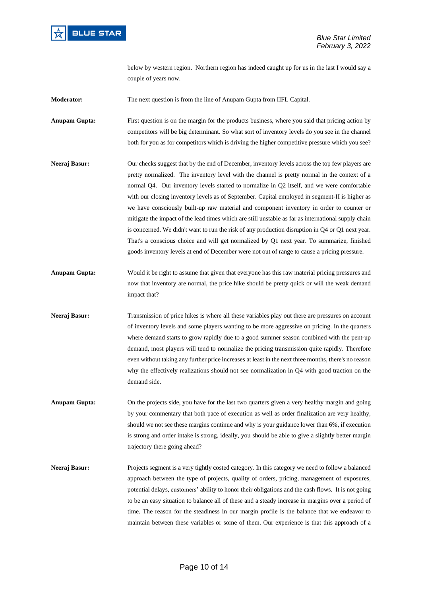

below by western region. Northern region has indeed caught up for us in the last I would say a couple of years now.

**Moderator:** The next question is from the line of Anupam Gupta from IIFL Capital.

**Anupam Gupta:** First question is on the margin for the products business, where you said that pricing action by competitors will be big determinant. So what sort of inventory levels do you see in the channel both for you as for competitors which is driving the higher competitive pressure which you see?

- **Neeraj Basur:** Our checks suggest that by the end of December, inventory levels across the top few players are pretty normalized. The inventory level with the channel is pretty normal in the context of a normal Q4. Our inventory levels started to normalize in Q2 itself, and we were comfortable with our closing inventory levels as of September. Capital employed in segment-II is higher as we have consciously built-up raw material and component inventory in order to counter or mitigate the impact of the lead times which are still unstable as far as international supply chain is concerned. We didn't want to run the risk of any production disruption in Q4 or Q1 next year. That's a conscious choice and will get normalized by Q1 next year. To summarize, finished goods inventory levels at end of December were not out of range to cause a pricing pressure.
- **Anupam Gupta:** Would it be right to assume that given that everyone has this raw material pricing pressures and now that inventory are normal, the price hike should be pretty quick or will the weak demand impact that?
- **Neeraj Basur:** Transmission of price hikes is where all these variables play out there are pressures on account of inventory levels and some players wanting to be more aggressive on pricing. In the quarters where demand starts to grow rapidly due to a good summer season combined with the pent-up demand, most players will tend to normalize the pricing transmission quite rapidly. Therefore even without taking any further price increases at least in the next three months, there's no reason why the effectively realizations should not see normalization in Q4 with good traction on the demand side.
- **Anupam Gupta:** On the projects side, you have for the last two quarters given a very healthy margin and going by your commentary that both pace of execution as well as order finalization are very healthy, should we not see these margins continue and why is your guidance lower than 6%, if execution is strong and order intake is strong, ideally, you should be able to give a slightly better margin trajectory there going ahead?
- **Neeraj Basur:** Projects segment is a very tightly costed category. In this category we need to follow a balanced approach between the type of projects, quality of orders, pricing, management of exposures, potential delays, customers' ability to honor their obligations and the cash flows. It is not going to be an easy situation to balance all of these and a steady increase in margins over a period of time. The reason for the steadiness in our margin profile is the balance that we endeavor to maintain between these variables or some of them. Our experience is that this approach of a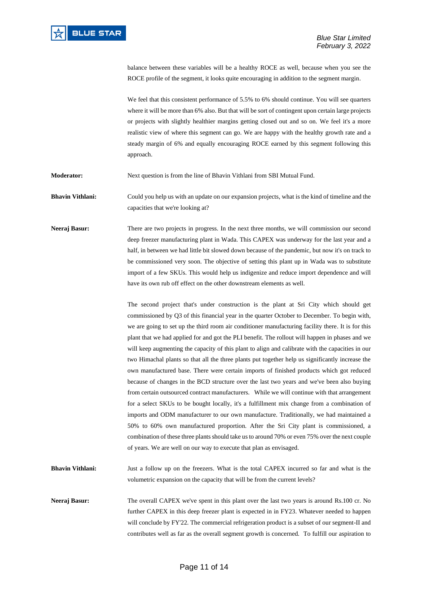balance between these variables will be a healthy ROCE as well, because when you see the ROCE profile of the segment, it looks quite encouraging in addition to the segment margin.

We feel that this consistent performance of 5.5% to 6% should continue. You will see quarters where it will be more than 6% also. But that will be sort of contingent upon certain large projects or projects with slightly healthier margins getting closed out and so on. We feel it's a more realistic view of where this segment can go. We are happy with the healthy growth rate and a steady margin of 6% and equally encouraging ROCE earned by this segment following this approach.

**Moderator:** Next question is from the line of Bhavin Vithlani from SBI Mutual Fund.

**Bhavin Vithlani:** Could you help us with an update on our expansion projects, what is the kind of timeline and the capacities that we're looking at?

**Neeraj Basur:** There are two projects in progress. In the next three months, we will commission our second deep freezer manufacturing plant in Wada. This CAPEX was underway for the last year and a half, in between we had little bit slowed down because of the pandemic, but now it's on track to be commissioned very soon. The objective of setting this plant up in Wada was to substitute import of a few SKUs. This would help us indigenize and reduce import dependence and will have its own rub off effect on the other downstream elements as well.

> The second project that's under construction is the plant at Sri City which should get commissioned by Q3 of this financial year in the quarter October to December. To begin with, we are going to set up the third room air conditioner manufacturing facility there. It is for this plant that we had applied for and got the PLI benefit. The rollout will happen in phases and we will keep augmenting the capacity of this plant to align and calibrate with the capacities in our two Himachal plants so that all the three plants put together help us significantly increase the own manufactured base. There were certain imports of finished products which got reduced because of changes in the BCD structure over the last two years and we've been also buying from certain outsourced contract manufacturers. While we will continue with that arrangement for a select SKUs to be bought locally, it's a fulfillment mix change from a combination of imports and ODM manufacturer to our own manufacture. Traditionally, we had maintained a 50% to 60% own manufactured proportion. After the Sri City plant is commissioned, a combination of these three plants should take us to around 70% or even 75% over the next couple of years. We are well on our way to execute that plan as envisaged.

**Bhavin Vithlani:** Just a follow up on the freezers. What is the total CAPEX incurred so far and what is the volumetric expansion on the capacity that will be from the current levels?

**Neeraj Basur:** The overall CAPEX we've spent in this plant over the last two years is around Rs.100 cr. No further CAPEX in this deep freezer plant is expected in in FY23. Whatever needed to happen will conclude by FY'22. The commercial refrigeration product is a subset of our segment-II and contributes well as far as the overall segment growth is concerned. To fulfill our aspiration to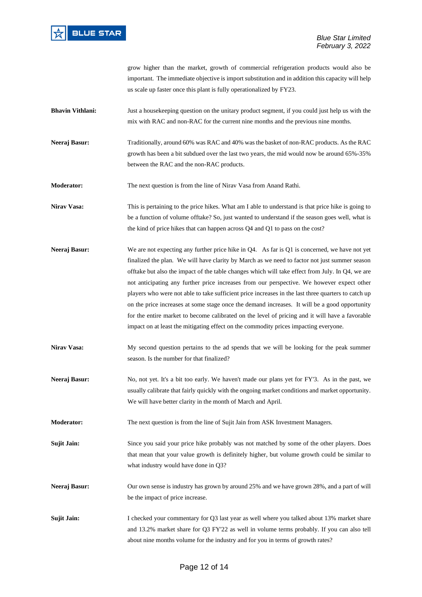

grow higher than the market, growth of commercial refrigeration products would also be important. The immediate objective is import substitution and in addition this capacity will help us scale up faster once this plant is fully operationalized by FY23.

- **Bhavin Vithlani:** Just a housekeeping question on the unitary product segment, if you could just help us with the mix with RAC and non-RAC for the current nine months and the previous nine months.
- **Neeraj Basur:** Traditionally, around 60% was RAC and 40% was the basket of non-RAC products. As the RAC growth has been a bit subdued over the last two years, the mid would now be around 65%-35% between the RAC and the non-RAC products.

**Moderator:** The next question is from the line of Nirav Vasa from Anand Rathi.

**Nirav Vasa:** This is pertaining to the price hikes. What am I able to understand is that price hike is going to be a function of volume offtake? So, just wanted to understand if the season goes well, what is the kind of price hikes that can happen across Q4 and Q1 to pass on the cost?

- **Neeraj Basur:** We are not expecting any further price hike in Q4. As far is Q1 is concerned, we have not yet finalized the plan. We will have clarity by March as we need to factor not just summer season offtake but also the impact of the table changes which will take effect from July. In Q4, we are not anticipating any further price increases from our perspective. We however expect other players who were not able to take sufficient price increases in the last three quarters to catch up on the price increases at some stage once the demand increases. It will be a good opportunity for the entire market to become calibrated on the level of pricing and it will have a favorable impact on at least the mitigating effect on the commodity prices impacting everyone.
- **Nirav Vasa:** My second question pertains to the ad spends that we will be looking for the peak summer season. Is the number for that finalized?
- **Neeraj Basur:** No, not yet. It's a bit too early. We haven't made our plans yet for FY'3. As in the past, we usually calibrate that fairly quickly with the ongoing market conditions and market opportunity. We will have better clarity in the month of March and April.
- **Moderator:** The next question is from the line of Sujit Jain from ASK Investment Managers.

**Sujit Jain:** Since you said your price hike probably was not matched by some of the other players. Does that mean that your value growth is definitely higher, but volume growth could be similar to what industry would have done in Q3?

- **Neeraj Basur:** Our own sense is industry has grown by around 25% and we have grown 28%, and a part of will be the impact of price increase.
- **Sujit Jain:** I checked your commentary for Q3 last year as well where you talked about 13% market share and 13.2% market share for Q3 FY'22 as well in volume terms probably. If you can also tell about nine months volume for the industry and for you in terms of growth rates?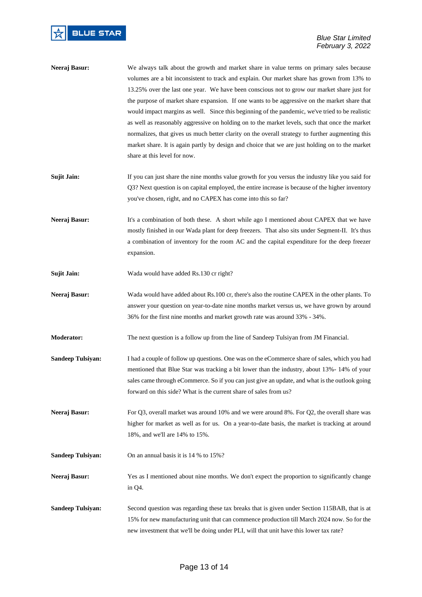- **Neeraj Basur:** We always talk about the growth and market share in value terms on primary sales because volumes are a bit inconsistent to track and explain. Our market share has grown from 13% to 13.25% over the last one year. We have been conscious not to grow our market share just for the purpose of market share expansion. If one wants to be aggressive on the market share that would impact margins as well. Since this beginning of the pandemic, we've tried to be realistic as well as reasonably aggressive on holding on to the market levels, such that once the market normalizes, that gives us much better clarity on the overall strategy to further augmenting this market share. It is again partly by design and choice that we are just holding on to the market share at this level for now.
- **Sujit Jain:** If you can just share the nine months value growth for you versus the industry like you said for Q3? Next question is on capital employed, the entire increase is because of the higher inventory you've chosen, right, and no CAPEX has come into this so far?
- **Neeraj Basur:** It's a combination of both these. A short while ago I mentioned about CAPEX that we have mostly finished in our Wada plant for deep freezers. That also sits under Segment-II. It's thus a combination of inventory for the room AC and the capital expenditure for the deep freezer expansion.
- **Sujit Jain:** Wada would have added Rs.130 cr right?
- **Neeraj Basur:** Wada would have added about Rs.100 cr, there's also the routine CAPEX in the other plants. To answer your question on year-to-date nine months market versus us, we have grown by around 36% for the first nine months and market growth rate was around 33% - 34%.
- **Moderator:** The next question is a follow up from the line of Sandeep Tulsiyan from JM Financial.
- **Sandeep Tulsiyan:** I had a couple of follow up questions. One was on the eCommerce share of sales, which you had mentioned that Blue Star was tracking a bit lower than the industry, about 13%- 14% of your sales came through eCommerce. So if you can just give an update, and what is the outlook going forward on this side? What is the current share of sales from us?
- **Neeraj Basur:** For Q3, overall market was around 10% and we were around 8%. For Q2, the overall share was higher for market as well as for us. On a year-to-date basis, the market is tracking at around 18%, and we'll are 14% to 15%.
- **Sandeep Tulsiyan:** On an annual basis it is 14 % to 15%?
- Neeraj Basur: Yes as I mentioned about nine months. We don't expect the proportion to significantly change in Q4.
- **Sandeep Tulsiyan:** Second question was regarding these tax breaks that is given under Section 115BAB, that is at 15% for new manufacturing unit that can commence production till March 2024 now. So for the new investment that we'll be doing under PLI, will that unit have this lower tax rate?